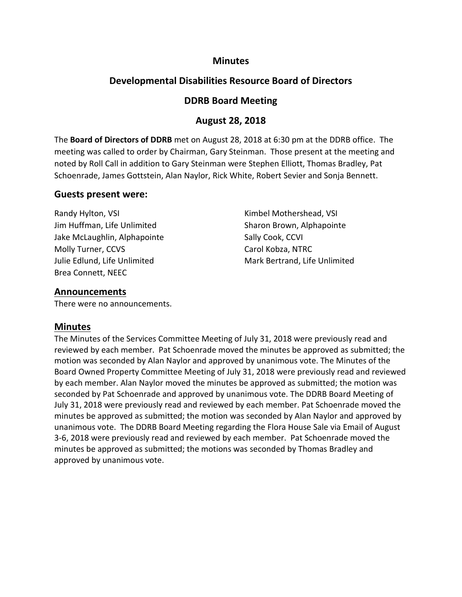# **Minutes**

# **Developmental Disabilities Resource Board of Directors**

# **DDRB Board Meeting**

# **August 28, 2018**

The **Board of Directors of DDRB** met on August 28, 2018 at 6:30 pm at the DDRB office. The meeting was called to order by Chairman, Gary Steinman. Those present at the meeting and noted by Roll Call in addition to Gary Steinman were Stephen Elliott, Thomas Bradley, Pat Schoenrade, James Gottstein, Alan Naylor, Rick White, Robert Sevier and Sonja Bennett.

### **Guests present were:**

Randy Hylton, VSI **Randy Hylton, VSI Kimbel Mothershead, VSI** Jim Huffman, Life Unlimited Sharon Brown, Alphapointe Jake McLaughlin, Alphapointe Sally Cook, CCVI Molly Turner, CCVS Carol Kobza, NTRC Julie Edlund, Life Unlimited Mark Bertrand, Life Unlimited Brea Connett, NEEC

# **Announcements**

There were no announcements.

### **Minutes**

The Minutes of the Services Committee Meeting of July 31, 2018 were previously read and reviewed by each member. Pat Schoenrade moved the minutes be approved as submitted; the motion was seconded by Alan Naylor and approved by unanimous vote. The Minutes of the Board Owned Property Committee Meeting of July 31, 2018 were previously read and reviewed by each member. Alan Naylor moved the minutes be approved as submitted; the motion was seconded by Pat Schoenrade and approved by unanimous vote. The DDRB Board Meeting of July 31, 2018 were previously read and reviewed by each member. Pat Schoenrade moved the minutes be approved as submitted; the motion was seconded by Alan Naylor and approved by unanimous vote. The DDRB Board Meeting regarding the Flora House Sale via Email of August 3-6, 2018 were previously read and reviewed by each member. Pat Schoenrade moved the minutes be approved as submitted; the motions was seconded by Thomas Bradley and approved by unanimous vote.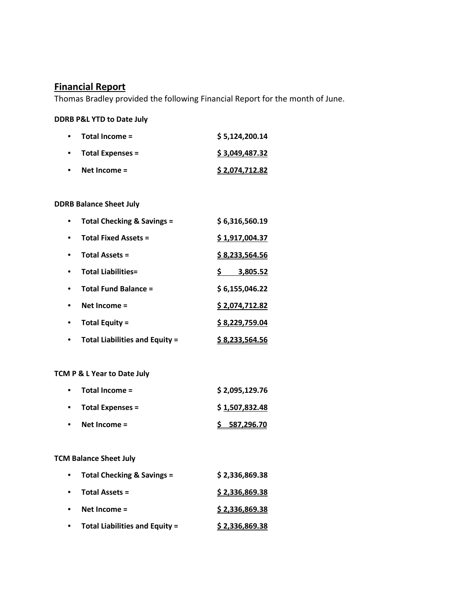# **Financial Report**

Thomas Bradley provided the following Financial Report for the month of June.

### **DDRB P&L YTD to Date July**

| $\bullet$ | = Total Income       | \$5,124,200.14 |
|-----------|----------------------|----------------|
|           | • Total Expenses $=$ | \$3,049,487.32 |
| $\bullet$ | Net Income $=$       | \$2,074,712.82 |

### **DDRB Balance Sheet July**

| <b>Total Checking &amp; Savings =</b> | \$6,316,560.19 |
|---------------------------------------|----------------|
| <b>Total Fixed Assets =</b>           | \$1,917,004.37 |
| <b>Total Assets =</b>                 | \$8,233,564.56 |
| <b>Total Liabilities=</b>             | 3,805.52       |
| <b>Total Fund Balance =</b>           | \$6,155,046.22 |
| Net Income =                          | \$2,074,712.82 |
| <b>Total Equity =</b>                 | \$8,229,759.04 |
| <b>Total Liabilities and Equity =</b> | \$8,233,564.56 |

### **TCM P & L Year to Date July**

| $\bullet$ | Total Income =          | \$2,095,129.76 |
|-----------|-------------------------|----------------|
|           | <b>Total Expenses =</b> | \$1,507,832.48 |
|           | Net Income $=$          | \$587,296.70   |

# **TCM Balance Sheet July**

| $\bullet$ | Total Checking & Savings =            | \$2,336,869.38 |
|-----------|---------------------------------------|----------------|
| $\bullet$ | <b>Total Assets =</b>                 | \$2,336,869.38 |
| $\bullet$ | Net Income $=$                        | \$2,336,869.38 |
|           | <b>Total Liabilities and Equity =</b> | \$2,336,869.38 |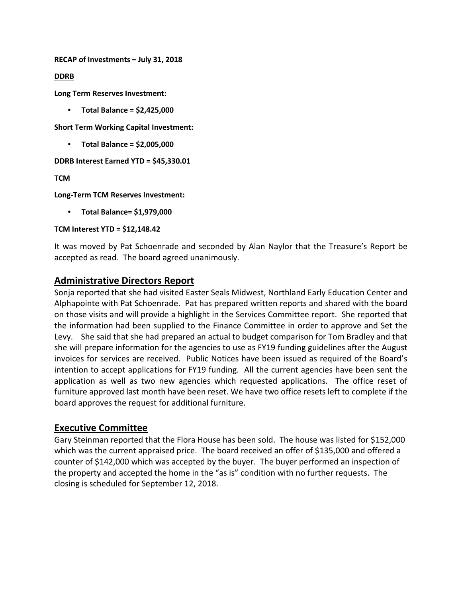**RECAP of Investments – July 31, 2018**

**DDRB**

**Long Term Reserves Investment:**

• **Total Balance = \$2,425,000**

**Short Term Working Capital Investment:** 

• **Total Balance = \$2,005,000**

**DDRB Interest Earned YTD = \$45,330.01**

**TCM**

**Long-Term TCM Reserves Investment:**

• **Total Balance= \$1,979,000**

#### **TCM Interest YTD = \$12,148.42**

It was moved by Pat Schoenrade and seconded by Alan Naylor that the Treasure's Report be accepted as read. The board agreed unanimously.

### **Administrative Directors Report**

Sonja reported that she had visited Easter Seals Midwest, Northland Early Education Center and Alphapointe with Pat Schoenrade. Pat has prepared written reports and shared with the board on those visits and will provide a highlight in the Services Committee report. She reported that the information had been supplied to the Finance Committee in order to approve and Set the Levy. She said that she had prepared an actual to budget comparison for Tom Bradley and that she will prepare information for the agencies to use as FY19 funding guidelines after the August invoices for services are received. Public Notices have been issued as required of the Board's intention to accept applications for FY19 funding. All the current agencies have been sent the application as well as two new agencies which requested applications. The office reset of furniture approved last month have been reset. We have two office resets left to complete if the board approves the request for additional furniture.

# **Executive Committee**

Gary Steinman reported that the Flora House has been sold. The house was listed for \$152,000 which was the current appraised price. The board received an offer of \$135,000 and offered a counter of \$142,000 which was accepted by the buyer. The buyer performed an inspection of the property and accepted the home in the "as is" condition with no further requests. The closing is scheduled for September 12, 2018.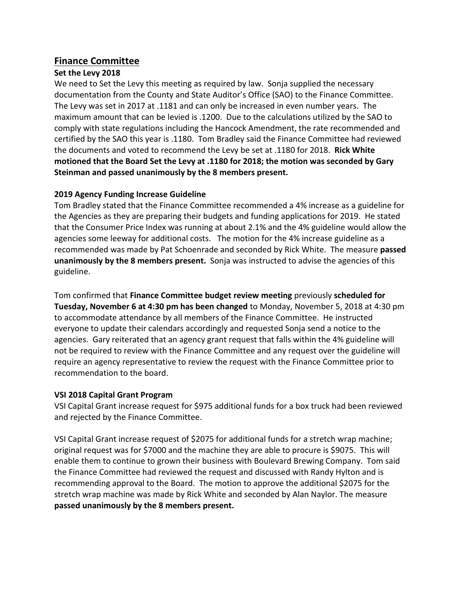# **Finance Committee**

### **Set the Levy 2018**

We need to Set the Levy this meeting as required by law. Sonja supplied the necessary documentation from the County and State Auditor's Office (SAO) to the Finance Committee. The Levy was set in 2017 at .1181 and can only be increased in even number years. The maximum amount that can be levied is .1200. Due to the calculations utilized by the SAO to comply with state regulations including the Hancock Amendment, the rate recommended and certified by the SAO this year is .1180. Tom Bradley said the Finance Committee had reviewed the documents and voted to recommend the Levy be set at .1180 for 2018. **Rick White motioned that the Board Set the Levy at .1180 for 2018; the motion was seconded by Gary Steinman and passed unanimously by the 8 members present.** 

### **2019 Agency Funding Increase Guideline**

Tom Bradley stated that the Finance Committee recommended a 4% increase as a guideline for the Agencies as they are preparing their budgets and funding applications for 2019. He stated that the Consumer Price Index was running at about 2.1% and the 4% guideline would allow the agencies some leeway for additional costs. The motion for the 4% increase guideline as a recommended was made by Pat Schoenrade and seconded by Rick White. The measure **passed unanimously by the 8 members present.** Sonja was instructed to advise the agencies of this guideline.

Tom confirmed that **Finance Committee budget review meeting** previously **scheduled for Tuesday, November 6 at 4:30 pm has been changed** to Monday, November 5, 2018 at 4:30 pm to accommodate attendance by all members of the Finance Committee. He instructed everyone to update their calendars accordingly and requested Sonja send a notice to the agencies. Gary reiterated that an agency grant request that falls within the 4% guideline will not be required to review with the Finance Committee and any request over the guideline will require an agency representative to review the request with the Finance Committee prior to recommendation to the board.

### **VSI 2018 Capital Grant Program**

VSI Capital Grant increase request for \$975 additional funds for a box truck had been reviewed and rejected by the Finance Committee.

VSI Capital Grant increase request of \$2075 for additional funds for a stretch wrap machine; original request was for \$7000 and the machine they are able to procure is \$9075. This will enable them to continue to grown their business with Boulevard Brewing Company. Tom said the Finance Committee had reviewed the request and discussed with Randy Hylton and is recommending approval to the Board. The motion to approve the additional \$2075 for the stretch wrap machine was made by Rick White and seconded by Alan Naylor. The measure **passed unanimously by the 8 members present.**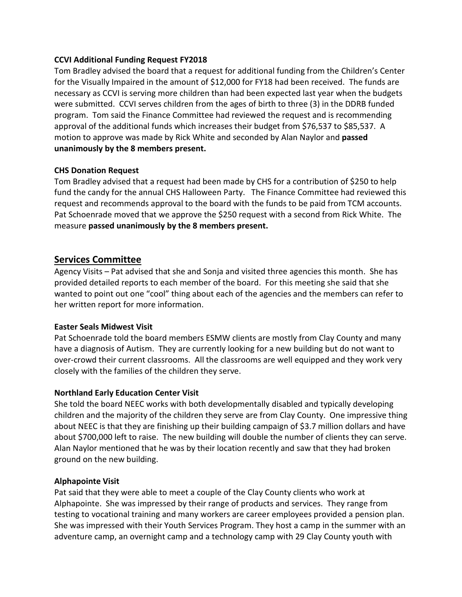#### **CCVI Additional Funding Request FY2018**

Tom Bradley advised the board that a request for additional funding from the Children's Center for the Visually Impaired in the amount of \$12,000 for FY18 had been received. The funds are necessary as CCVI is serving more children than had been expected last year when the budgets were submitted. CCVI serves children from the ages of birth to three (3) in the DDRB funded program. Tom said the Finance Committee had reviewed the request and is recommending approval of the additional funds which increases their budget from \$76,537 to \$85,537. A motion to approve was made by Rick White and seconded by Alan Naylor and **passed unanimously by the 8 members present.**

#### **CHS Donation Request**

Tom Bradley advised that a request had been made by CHS for a contribution of \$250 to help fund the candy for the annual CHS Halloween Party. The Finance Committee had reviewed this request and recommends approval to the board with the funds to be paid from TCM accounts. Pat Schoenrade moved that we approve the \$250 request with a second from Rick White. The measure **passed unanimously by the 8 members present.**

# **Services Committee**

Agency Visits – Pat advised that she and Sonja and visited three agencies this month. She has provided detailed reports to each member of the board. For this meeting she said that she wanted to point out one "cool" thing about each of the agencies and the members can refer to her written report for more information.

#### **Easter Seals Midwest Visit**

Pat Schoenrade told the board members ESMW clients are mostly from Clay County and many have a diagnosis of Autism. They are currently looking for a new building but do not want to over-crowd their current classrooms. All the classrooms are well equipped and they work very closely with the families of the children they serve.

### **Northland Early Education Center Visit**

She told the board NEEC works with both developmentally disabled and typically developing children and the majority of the children they serve are from Clay County. One impressive thing about NEEC is that they are finishing up their building campaign of \$3.7 million dollars and have about \$700,000 left to raise. The new building will double the number of clients they can serve. Alan Naylor mentioned that he was by their location recently and saw that they had broken ground on the new building.

#### **Alphapointe Visit**

Pat said that they were able to meet a couple of the Clay County clients who work at Alphapointe. She was impressed by their range of products and services. They range from testing to vocational training and many workers are career employees provided a pension plan. She was impressed with their Youth Services Program. They host a camp in the summer with an adventure camp, an overnight camp and a technology camp with 29 Clay County youth with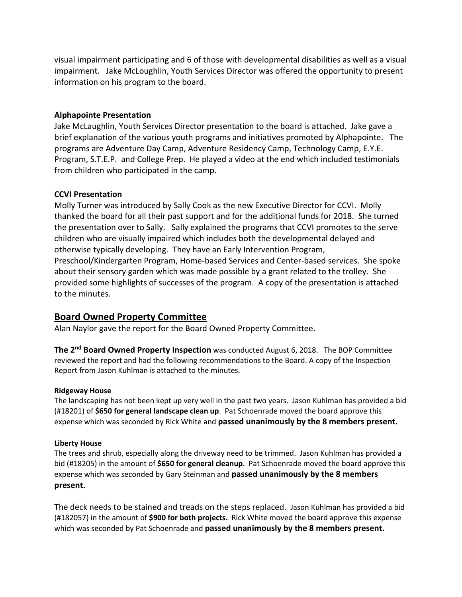visual impairment participating and 6 of those with developmental disabilities as well as a visual impairment. Jake McLoughlin, Youth Services Director was offered the opportunity to present information on his program to the board.

#### **Alphapointe Presentation**

Jake McLaughlin, Youth Services Director presentation to the board is attached. Jake gave a brief explanation of the various youth programs and initiatives promoted by Alphapointe. The programs are Adventure Day Camp, Adventure Residency Camp, Technology Camp, E.Y.E. Program, S.T.E.P. and College Prep. He played a video at the end which included testimonials from children who participated in the camp.

#### **CCVI Presentation**

Molly Turner was introduced by Sally Cook as the new Executive Director for CCVI. Molly thanked the board for all their past support and for the additional funds for 2018. She turned the presentation over to Sally. Sally explained the programs that CCVI promotes to the serve children who are visually impaired which includes both the developmental delayed and otherwise typically developing. They have an Early Intervention Program, Preschool/Kindergarten Program, Home-based Services and Center-based services. She spoke about their sensory garden which was made possible by a grant related to the trolley. She provided some highlights of successes of the program. A copy of the presentation is attached to the minutes.

# **Board Owned Property Committee**

Alan Naylor gave the report for the Board Owned Property Committee.

**The 2nd Board Owned Property Inspection** was conducted August 6, 2018. The BOP Committee reviewed the report and had the following recommendations to the Board. A copy of the Inspection Report from Jason Kuhlman is attached to the minutes.

#### **Ridgeway House**

The landscaping has not been kept up very well in the past two years. Jason Kuhlman has provided a bid (#18201) of **\$650 for general landscape clean up**. Pat Schoenrade moved the board approve this expense which was seconded by Rick White and **passed unanimously by the 8 members present.**

#### **Liberty House**

The trees and shrub, especially along the driveway need to be trimmed. Jason Kuhlman has provided a bid (#18205) in the amount of **\$650 for general cleanup**. Pat Schoenrade moved the board approve this expense which was seconded by Gary Steinman and **passed unanimously by the 8 members present.**

The deck needs to be stained and treads on the steps replaced. Jason Kuhlman has provided a bid (#182057) in the amount of **\$900 for both projects.** Rick White moved the board approve this expense which was seconded by Pat Schoenrade and **passed unanimously by the 8 members present.**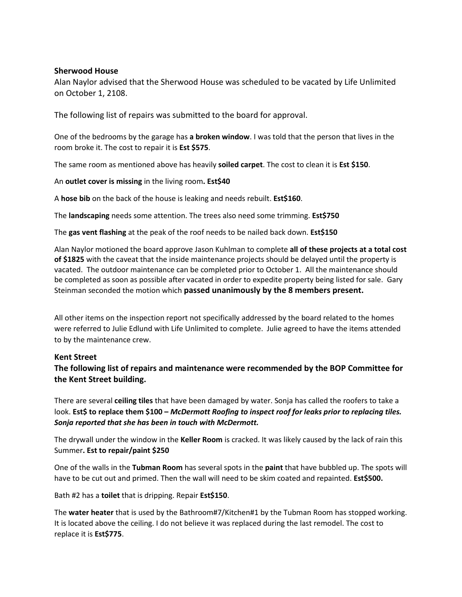#### **Sherwood House**

Alan Naylor advised that the Sherwood House was scheduled to be vacated by Life Unlimited on October 1, 2108.

The following list of repairs was submitted to the board for approval.

One of the bedrooms by the garage has **a broken window**. I was told that the person that lives in the room broke it. The cost to repair it is **Est \$575**.

The same room as mentioned above has heavily **soiled carpet**. The cost to clean it is **Est \$150**.

An **outlet cover is missing** in the living room**. Est\$40**

A **hose bib** on the back of the house is leaking and needs rebuilt. **Est\$160**.

The **landscaping** needs some attention. The trees also need some trimming. **Est\$750**

The **gas vent flashing** at the peak of the roof needs to be nailed back down. **Est\$150**

Alan Naylor motioned the board approve Jason Kuhlman to complete **all of these projects at a total cost of \$1825** with the caveat that the inside maintenance projects should be delayed until the property is vacated. The outdoor maintenance can be completed prior to October 1. All the maintenance should be completed as soon as possible after vacated in order to expedite property being listed for sale. Gary Steinman seconded the motion which **passed unanimously by the 8 members present.**

All other items on the inspection report not specifically addressed by the board related to the homes were referred to Julie Edlund with Life Unlimited to complete. Julie agreed to have the items attended to by the maintenance crew.

#### **Kent Street**

**The following list of repairs and maintenance were recommended by the BOP Committee for the Kent Street building.** 

There are several **ceiling tiles** that have been damaged by water. Sonja has called the roofers to take a look. **Est\$ to replace them \$100 –** *McDermott Roofing to inspect roof for leaks prior to replacing tiles. Sonja reported that she has been in touch with McDermott.*

The drywall under the window in the **Keller Room** is cracked. It was likely caused by the lack of rain this Summer**. Est to repair/paint \$250**

One of the walls in the **Tubman Room** has several spots in the **paint** that have bubbled up. The spots will have to be cut out and primed. Then the wall will need to be skim coated and repainted. **Est\$500.**

Bath #2 has a **toilet** that is dripping. Repair **Est\$150**.

The **water heater** that is used by the Bathroom#7/Kitchen#1 by the Tubman Room has stopped working. It is located above the ceiling. I do not believe it was replaced during the last remodel. The cost to replace it is **Est\$775**.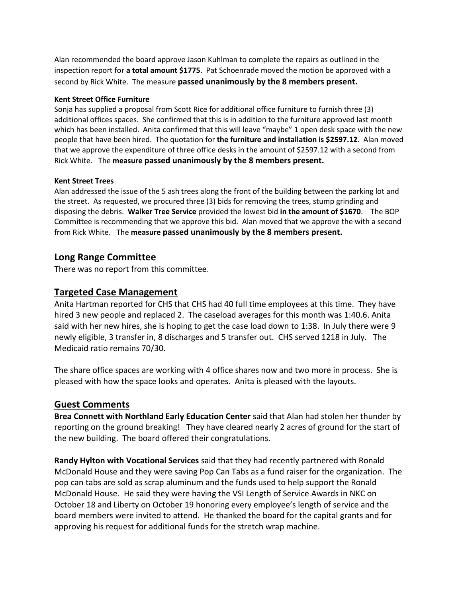Alan recommended the board approve Jason Kuhlman to complete the repairs as outlined in the inspection report for **a total amount \$1775**. Pat Schoenrade moved the motion be approved with a second by Rick White. The measure **passed unanimously by the 8 members present.**

#### **Kent Street Office Furniture**

Sonja has supplied a proposal from Scott Rice for additional office furniture to furnish three (3) additional offices spaces. She confirmed that this is in addition to the furniture approved last month which has been installed. Anita confirmed that this will leave "maybe" 1 open desk space with the new people that have been hired. The quotation for **the furniture and installation is \$2597.12**. Alan moved that we approve the expenditure of three office desks in the amount of \$2597.12 with a second from Rick White. The **measure passed unanimously by the 8 members present.**

#### **Kent Street Trees**

Alan addressed the issue of the 5 ash trees along the front of the building between the parking lot and the street. As requested, we procured three (3) bids for removing the trees, stump grinding and disposing the debris. **Walker Tree Service** provided the lowest bid **in the amount of \$1670**. The BOP Committee is recommending that we approve this bid. Alan moved that we approve the with a second from Rick White. The **measure passed unanimously by the 8 members present.**

# **Long Range Committee**

There was no report from this committee.

# **Targeted Case Management**

Anita Hartman reported for CHS that CHS had 40 full time employees at this time. They have hired 3 new people and replaced 2. The caseload averages for this month was 1:40.6. Anita said with her new hires, she is hoping to get the case load down to 1:38. In July there were 9 newly eligible, 3 transfer in, 8 discharges and 5 transfer out. CHS served 1218 in July. The Medicaid ratio remains 70/30.

The share office spaces are working with 4 office shares now and two more in process. She is pleased with how the space looks and operates. Anita is pleased with the layouts.

### **Guest Comments**

**Brea Connett with Northland Early Education Center** said that Alan had stolen her thunder by reporting on the ground breaking! They have cleared nearly 2 acres of ground for the start of the new building. The board offered their congratulations.

**Randy Hylton with Vocational Services** said that they had recently partnered with Ronald McDonald House and they were saving Pop Can Tabs as a fund raiser for the organization. The pop can tabs are sold as scrap aluminum and the funds used to help support the Ronald McDonald House. He said they were having the VSI Length of Service Awards in NKC on October 18 and Liberty on October 19 honoring every employee's length of service and the board members were invited to attend. He thanked the board for the capital grants and for approving his request for additional funds for the stretch wrap machine.